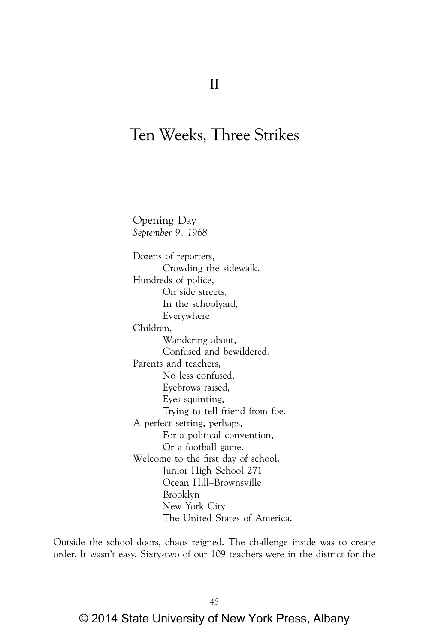# Ten Weeks, Three Strikes

Opening Day *September 9, 1968* Dozens of reporters, Crowding the sidewalk. Hundreds of police, On side streets, In the schoolyard, Everywhere. Children, Wandering about, Confused and bewildered. Parents and teachers, No less confused, Eyebrows raised, Eyes squinting, Trying to tell friend from foe. A perfect setting, perhaps, For a political convention, Or a football game. Welcome to the first day of school. Junior High School 271 Ocean Hill–Brownsville Brooklyn New York City The United States of America.

Outside the school doors, chaos reigned. The challenge inside was to create order. It wasn't easy. Sixty-two of our 109 teachers were in the district for the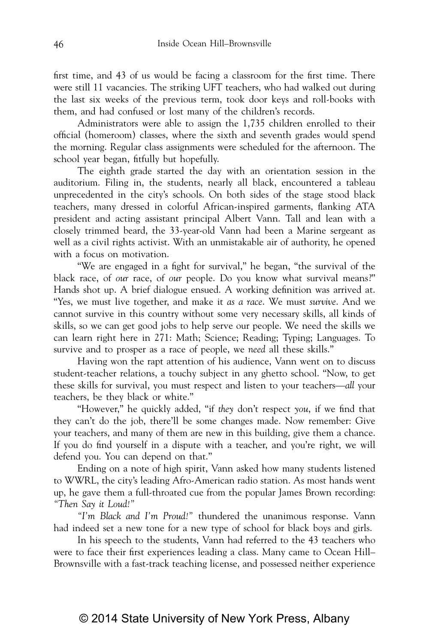first time, and 43 of us would be facing a classroom for the first time. There were still 11 vacancies. The striking UFT teachers, who had walked out during the last six weeks of the previous term, took door keys and roll-books with them, and had confused or lost many of the children's records.

Administrators were able to assign the 1,735 children enrolled to their official (homeroom) classes, where the sixth and seventh grades would spend the morning. Regular class assignments were scheduled for the afternoon. The school year began, fitfully but hopefully.

The eighth grade started the day with an orientation session in the auditorium. Filing in, the students, nearly all black, encountered a tableau unprecedented in the city's schools. On both sides of the stage stood black teachers, many dressed in colorful African-inspired garments, flanking ATA president and acting assistant principal Albert Vann. Tall and lean with a closely trimmed beard, the 33-year-old Vann had been a Marine sergeant as well as a civil rights activist. With an unmistakable air of authority, he opened with a focus on motivation.

"We are engaged in a fight for survival," he began, "the survival of the black race, of *our* race, of *our* people. Do you know what survival means?" Hands shot up. A brief dialogue ensued. A working definition was arrived at. "Yes, we must live together, and make it *as a race*. We must *survive*. And we cannot survive in this country without some very necessary skills, all kinds of skills, so we can get good jobs to help serve our people. We need the skills we can learn right here in 271: Math; Science; Reading; Typing; Languages. To survive and to prosper as a race of people, we *need* all these skills."

Having won the rapt attention of his audience, Vann went on to discuss student-teacher relations, a touchy subject in any ghetto school. "Now, to get these skills for survival, you must respect and listen to your teachers—*all* your teachers, be they black or white."

"However," he quickly added, "if *they* don't respect *you*, if we find that they can't do the job, there'll be some changes made. Now remember: Give your teachers, and many of them are new in this building, give them a chance. If you do find yourself in a dispute with a teacher, and you're right, we will defend you. You can depend on that."

Ending on a note of high spirit, Vann asked how many students listened to WWRL, the city's leading Afro-American radio station. As most hands went up, he gave them a full-throated cue from the popular James Brown recording: *"Then Say it Loud!"*

*"I'm Black and I'm Proud!"* thundered the unanimous response. Vann had indeed set a new tone for a new type of school for black boys and girls.

In his speech to the students, Vann had referred to the 43 teachers who were to face their first experiences leading a class. Many came to Ocean Hill– Brownsville with a fast-track teaching license, and possessed neither experience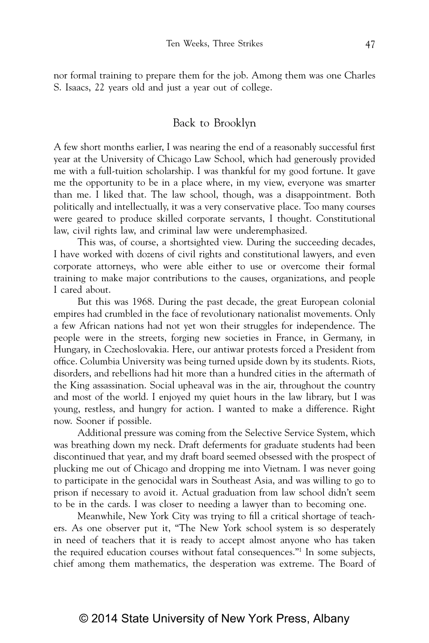nor formal training to prepare them for the job. Among them was one Charles S. Isaacs, 22 years old and just a year out of college.

#### Back to Brooklyn

A few short months earlier, I was nearing the end of a reasonably successful first year at the University of Chicago Law School, which had generously provided me with a full-tuition scholarship. I was thankful for my good fortune. It gave me the opportunity to be in a place where, in my view, everyone was smarter than me. I liked that. The law school, though, was a disappointment. Both politically and intellectually, it was a very conservative place. Too many courses were geared to produce skilled corporate servants, I thought. Constitutional law, civil rights law, and criminal law were underemphasized.

This was, of course, a shortsighted view. During the succeeding decades, I have worked with dozens of civil rights and constitutional lawyers, and even corporate attorneys, who were able either to use or overcome their formal training to make major contributions to the causes, organizations, and people I cared about.

But this was 1968. During the past decade, the great European colonial empires had crumbled in the face of revolutionary nationalist movements. Only a few African nations had not yet won their struggles for independence. The people were in the streets, forging new societies in France, in Germany, in Hungary, in Czechoslovakia. Here, our antiwar protests forced a President from office. Columbia University was being turned upside down by its students. Riots, disorders, and rebellions had hit more than a hundred cities in the aftermath of the King assassination. Social upheaval was in the air, throughout the country and most of the world. I enjoyed my quiet hours in the law library, but I was young, restless, and hungry for action. I wanted to make a difference. Right now. Sooner if possible.

Additional pressure was coming from the Selective Service System, which was breathing down my neck. Draft deferments for graduate students had been discontinued that year, and my draft board seemed obsessed with the prospect of plucking me out of Chicago and dropping me into Vietnam. I was never going to participate in the genocidal wars in Southeast Asia, and was willing to go to prison if necessary to avoid it. Actual graduation from law school didn't seem to be in the cards. I was closer to needing a lawyer than to becoming one.

Meanwhile, New York City was trying to fill a critical shortage of teachers. As one observer put it, "The New York school system is so desperately in need of teachers that it is ready to accept almost anyone who has taken the required education courses without fatal consequences."1 In some subjects, chief among them mathematics, the desperation was extreme. The Board of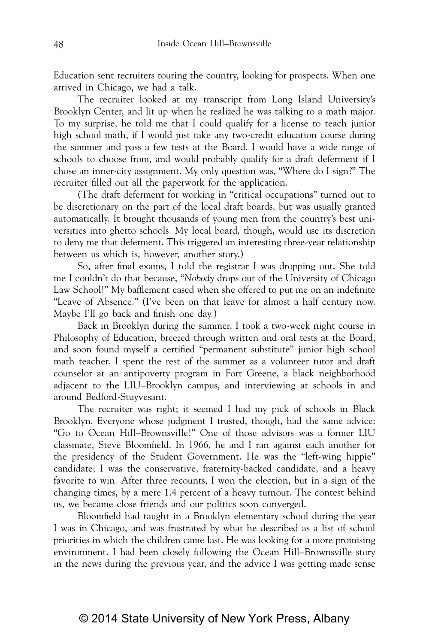Education sent recruiters touring the country, looking for prospects. When one arrived in Chicago, we had a talk.

The recruiter looked at my transcript from Long Island University's Brooklyn Center, and lit up when he realized he was talking to a math major. To my surprise, he told me that I could qualify for a license to teach junior high school math, if I would just take any two-credit education course during the summer and pass a few tests at the Board. I would have a wide range of schools to choose from, and would probably qualify for a draft deferment if I chose an inner-city assignment. My only question was, "Where do I sign?" The recruiter filled out all the paperwork for the application.

(The draft deferment for working in "critical occupations" turned out to be discretionary on the part of the local draft boards, but was usually granted automatically. It brought thousands of young men from the country's best universities into ghetto schools. My local board, though, would use its discretion to deny me that deferment. This triggered an interesting three-year relationship between us which is, however, another story.)

So, after final exams, I told the registrar I was dropping out. She told me I couldn't do that because, "*Nobody* drops out of the University of Chicago Law School!" My bafflement eased when she offered to put me on an indefinite "Leave of Absence." (I've been on that leave for almost a half century now. Maybe I'll go back and finish one day.)

Back in Brooklyn during the summer, I took a two-week night course in Philosophy of Education, breezed through written and oral tests at the Board, and soon found myself a certified "permanent substitute" junior high school math teacher. I spent the rest of the summer as a volunteer tutor and draft counselor at an antipoverty program in Fort Greene, a black neighborhood adjacent to the LIU–Brooklyn campus, and interviewing at schools in and around Bedford-Stuyvesant.

The recruiter was right; it seemed I had my pick of schools in Black Brooklyn. Everyone whose judgment I trusted, though, had the same advice: "Go to Ocean Hill–Brownsville!" One of those advisors was a former LIU classmate, Steve Bloomfield. In 1966, he and I ran against each another for the presidency of the Student Government. He was the "left-wing hippie" candidate; I was the conservative, fraternity-backed candidate, and a heavy favorite to win. After three recounts, I won the election, but in a sign of the changing times, by a mere 1.4 percent of a heavy turnout. The contest behind us, we became close friends and our politics soon converged.

Bloomfield had taught in a Brooklyn elementary school during the year I was in Chicago, and was frustrated by what he described as a list of school priorities in which the children came last. He was looking for a more promising environment. I had been closely following the Ocean Hill–Brownsville story in the news during the previous year, and the advice I was getting made sense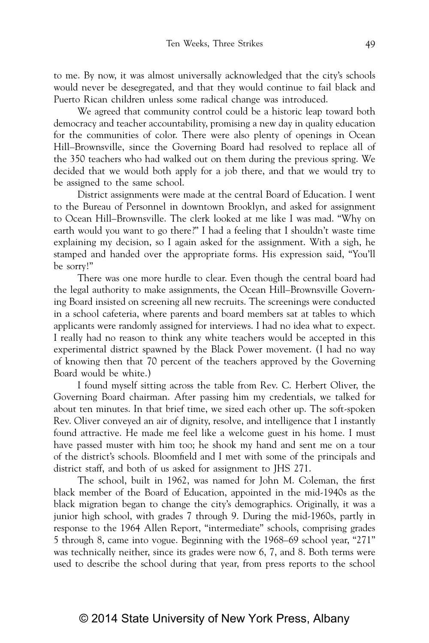to me. By now, it was almost universally acknowledged that the city's schools would never be desegregated, and that they would continue to fail black and Puerto Rican children unless some radical change was introduced.

We agreed that community control could be a historic leap toward both democracy and teacher accountability, promising a new day in quality education for the communities of color. There were also plenty of openings in Ocean Hill–Brownsville, since the Governing Board had resolved to replace all of the 350 teachers who had walked out on them during the previous spring. We decided that we would both apply for a job there, and that we would try to be assigned to the same school.

District assignments were made at the central Board of Education. I went to the Bureau of Personnel in downtown Brooklyn, and asked for assignment to Ocean Hill–Brownsville. The clerk looked at me like I was mad. "Why on earth would you want to go there?" I had a feeling that I shouldn't waste time explaining my decision, so I again asked for the assignment. With a sigh, he stamped and handed over the appropriate forms. His expression said, "You'll be sorry!"

There was one more hurdle to clear. Even though the central board had the legal authority to make assignments, the Ocean Hill–Brownsville Governing Board insisted on screening all new recruits. The screenings were conducted in a school cafeteria, where parents and board members sat at tables to which applicants were randomly assigned for interviews. I had no idea what to expect. I really had no reason to think any white teachers would be accepted in this experimental district spawned by the Black Power movement. (I had no way of knowing then that 70 percent of the teachers approved by the Governing Board would be white.)

I found myself sitting across the table from Rev. C. Herbert Oliver, the Governing Board chairman. After passing him my credentials, we talked for about ten minutes. In that brief time, we sized each other up. The soft-spoken Rev. Oliver conveyed an air of dignity, resolve, and intelligence that I instantly found attractive. He made me feel like a welcome guest in his home. I must have passed muster with him too; he shook my hand and sent me on a tour of the district's schools. Bloomfield and I met with some of the principals and district staff, and both of us asked for assignment to JHS 271.

The school, built in 1962, was named for John M. Coleman, the first black member of the Board of Education, appointed in the mid-1940s as the black migration began to change the city's demographics. Originally, it was a junior high school, with grades 7 through 9. During the mid-1960s, partly in response to the 1964 Allen Report, "intermediate" schools, comprising grades 5 through 8, came into vogue. Beginning with the 1968–69 school year, "271" was technically neither, since its grades were now 6, 7, and 8. Both terms were used to describe the school during that year, from press reports to the school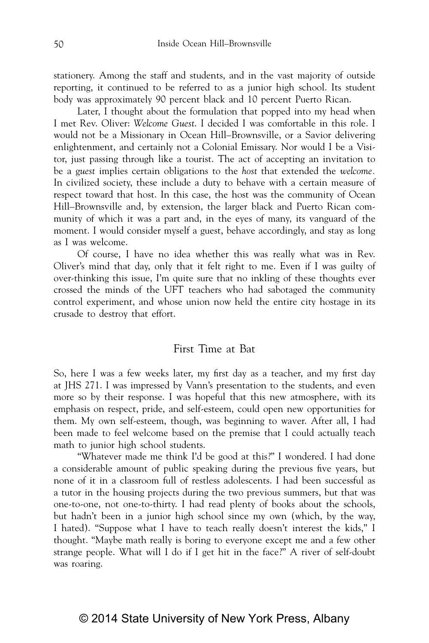stationery. Among the staff and students, and in the vast majority of outside reporting, it continued to be referred to as a junior high school. Its student body was approximately 90 percent black and 10 percent Puerto Rican.

Later, I thought about the formulation that popped into my head when I met Rev. Oliver: *Welcome Guest*. I decided I was comfortable in this role. I would not be a Missionary in Ocean Hill–Brownsville, or a Savior delivering enlightenment, and certainly not a Colonial Emissary. Nor would I be a Visitor, just passing through like a tourist. The act of accepting an invitation to be a g*uest* implies certain obligations to the *host* that extended the *welcome.* In civilized society, these include a duty to behave with a certain measure of respect toward that host. In this case, the host was the community of Ocean Hill–Brownsville and, by extension, the larger black and Puerto Rican community of which it was a part and, in the eyes of many, its vanguard of the moment. I would consider myself a guest, behave accordingly, and stay as long as I was welcome.

Of course, I have no idea whether this was really what was in Rev. Oliver's mind that day, only that it felt right to me. Even if I was guilty of over-thinking this issue, I'm quite sure that no inkling of these thoughts ever crossed the minds of the UFT teachers who had sabotaged the community control experiment, and whose union now held the entire city hostage in its crusade to destroy that effort.

### First Time at Bat

So, here I was a few weeks later, my first day as a teacher, and my first day at JHS 271. I was impressed by Vann's presentation to the students, and even more so by their response. I was hopeful that this new atmosphere, with its emphasis on respect, pride, and self-esteem, could open new opportunities for them. My own self-esteem, though, was beginning to waver. After all, I had been made to feel welcome based on the premise that I could actually teach math to junior high school students.

"Whatever made me think I'd be good at this?" I wondered. I had done a considerable amount of public speaking during the previous five years, but none of it in a classroom full of restless adolescents. I had been successful as a tutor in the housing projects during the two previous summers, but that was one-to-one, not one-to-thirty. I had read plenty of books about the schools, but hadn't been in a junior high school since my own (which, by the way, I hated). "Suppose what I have to teach really doesn't interest the kids," I thought. "Maybe math really is boring to everyone except me and a few other strange people. What will I do if I get hit in the face?" A river of self-doubt was roaring.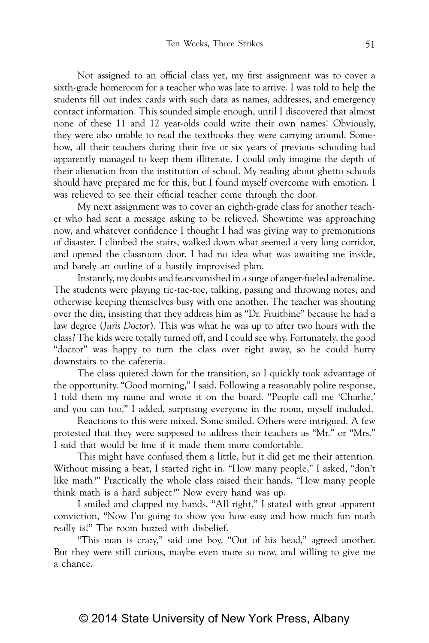Not assigned to an official class yet, my first assignment was to cover a sixth-grade homeroom for a teacher who was late to arrive. I was told to help the students fill out index cards with such data as names, addresses, and emergency contact information. This sounded simple enough, until I discovered that almost none of these 11 and 12 year-olds could write their own names! Obviously, they were also unable to read the textbooks they were carrying around. Somehow, all their teachers during their five or six years of previous schooling had apparently managed to keep them illiterate. I could only imagine the depth of their alienation from the institution of school. My reading about ghetto schools should have prepared me for this, but I found myself overcome with emotion. I was relieved to see their official teacher come through the door.

My next assignment was to cover an eighth-grade class for another teacher who had sent a message asking to be relieved. Showtime was approaching now, and whatever confidence I thought I had was giving way to premonitions of disaster. I climbed the stairs, walked down what seemed a very long corridor, and opened the classroom door. I had no idea what was awaiting me inside, and barely an outline of a hastily improvised plan.

Instantly, my doubts and fears vanished in a surge of anger-fueled adrenaline. The students were playing tic-tac-toe, talking, passing and throwing notes, and otherwise keeping themselves busy with one another. The teacher was shouting over the din, insisting that they address him as "Dr. Fruitbine" because he had a law degree (*Juris Doctor*). This was what he was up to after two hours with the class? The kids were totally turned off, and I could see why. Fortunately, the good "doctor" was happy to turn the class over right away, so he could hurry downstairs to the cafeteria.

The class quieted down for the transition, so I quickly took advantage of the opportunity. "Good morning," I said. Following a reasonably polite response, I told them my name and wrote it on the board. "People call me 'Charlie,' and you can too," I added, surprising everyone in the room, myself included.

Reactions to this were mixed. Some smiled. Others were intrigued. A few protested that they were supposed to address their teachers as "Mr." or "Mrs." I said that would be fine if it made them more comfortable.

This might have confused them a little, but it did get me their attention. Without missing a beat, I started right in. "How many people," I asked, "don't like math?" Practically the whole class raised their hands. "How many people think math is a hard subject?" Now every hand was up.

I smiled and clapped my hands. "All right," I stated with great apparent conviction, "Now I'm going to show you how easy and how much fun math really is!" The room buzzed with disbelief.

"This man is crazy," said one boy. "Out of his head," agreed another. But they were still curious, maybe even more so now, and willing to give me a chance.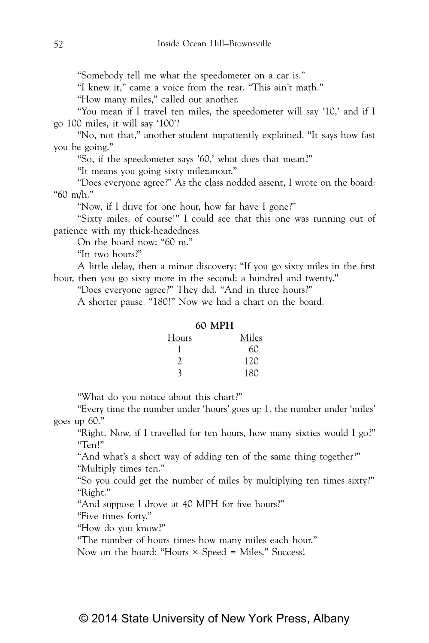"Somebody tell me what the speedometer on a car is."

"I knew it," came a voice from the rear. "This ain't math."

"How many miles," called out another.

"You mean if I travel ten miles, the speedometer will say '10,' and if I go 100 miles, it will say '100'?

"No, not that," another student impatiently explained. "It says how fast you be going."

"So, if the speedometer says '60,' what does that mean?"

"It means you going sixty milezanour."

"Does everyone agree?" As the class nodded assent, I wrote on the board: "60 m/h."

"Now, if I drive for one hour, how far have I gone?"

"Sixty miles, of course!" I could see that this one was running out of patience with my thick-headedness.

On the board now: "60 m."

"In two hours?"

A little delay, then a minor discovery: "If you go sixty miles in the first hour, then you go sixty more in the second: a hundred and twenty."

"Does everyone agree?" They did. "And in three hours?"

A shorter pause. "180!" Now we had a chart on the board.

#### **60 MPH**

| Hours | Miles |
|-------|-------|
|       | 60    |
| 2     | 120   |
|       | 180   |

"What do you notice about this chart?"

"Every time the number under 'hours' goes up 1, the number under 'miles' goes up 60."

"Right. Now, if I travelled for ten hours, how many sixties would I go?" "Ten!"

"And what's a short way of adding ten of the same thing together?" "Multiply times ten."

"So you could get the number of miles by multiplying ten times sixty?" "Right."

"And suppose I drove at 40 MPH for five hours?"

"Five times forty."

"How do you know?"

"The number of hours times how many miles each hour."

Now on the board: "Hours × Speed = Miles." Success!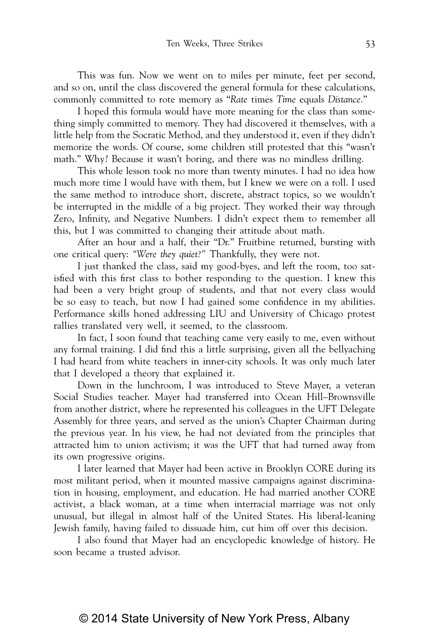This was fun. Now we went on to miles per minute, feet per second, and so on, until the class discovered the general formula for these calculations, commonly committed to rote memory as "*Rate* times *Time* equals *Distance*."

I hoped this formula would have more meaning for the class than something simply committed to memory. They had discovered it themselves, with a little help from the Socratic Method, and they understood it, even if they didn't memorize the words. Of course, some children still protested that this "wasn't math." Why? Because it wasn't boring, and there was no mindless drilling.

This whole lesson took no more than twenty minutes. I had no idea how much more time I would have with them, but I knew we were on a roll. I used the same method to introduce short, discrete, abstract topics, so we wouldn't be interrupted in the middle of a big project. They worked their way through Zero, Infinity, and Negative Numbers. I didn't expect them to remember all this, but I was committed to changing their attitude about math.

After an hour and a half, their "Dr." Fruitbine returned, bursting with one critical query: *"Were they quiet?"* Thankfully, they were not.

I just thanked the class, said my good-byes, and left the room, too satisfied with this first class to bother responding to the question. I knew this had been a very bright group of students, and that not every class would be so easy to teach, but now I had gained some confidence in my abilities. Performance skills honed addressing LIU and University of Chicago protest rallies translated very well, it seemed, to the classroom.

In fact, I soon found that teaching came very easily to me, even without any formal training. I did find this a little surprising, given all the bellyaching I had heard from white teachers in inner-city schools. It was only much later that I developed a theory that explained it.

Down in the lunchroom, I was introduced to Steve Mayer, a veteran Social Studies teacher. Mayer had transferred into Ocean Hill–Brownsville from another district, where he represented his colleagues in the UFT Delegate Assembly for three years, and served as the union's Chapter Chairman during the previous year. In his view, he had not deviated from the principles that attracted him to union activism; it was the UFT that had turned away from its own progressive origins.

I later learned that Mayer had been active in Brooklyn CORE during its most militant period, when it mounted massive campaigns against discrimination in housing, employment, and education. He had married another CORE activist, a black woman, at a time when interracial marriage was not only unusual, but illegal in almost half of the United States. His liberal-leaning Jewish family, having failed to dissuade him, cut him off over this decision.

I also found that Mayer had an encyclopedic knowledge of history. He soon became a trusted advisor.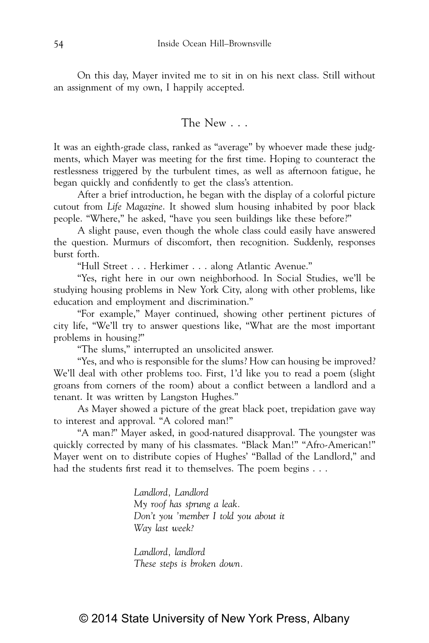On this day, Mayer invited me to sit in on his next class. Still without an assignment of my own, I happily accepted.

#### The New . . .

It was an eighth-grade class, ranked as "average" by whoever made these judgments, which Mayer was meeting for the first time. Hoping to counteract the restlessness triggered by the turbulent times, as well as afternoon fatigue, he began quickly and confidently to get the class's attention.

After a brief introduction, he began with the display of a colorful picture cutout from *Life Magazine*. It showed slum housing inhabited by poor black people. "Where," he asked, "have you seen buildings like these before?"

A slight pause, even though the whole class could easily have answered the question. Murmurs of discomfort, then recognition. Suddenly, responses burst forth.

"Hull Street . . . Herkimer . . . along Atlantic Avenue."

"Yes, right here in our own neighborhood. In Social Studies, we'll be studying housing problems in New York City, along with other problems, like education and employment and discrimination."

"For example," Mayer continued, showing other pertinent pictures of city life, "We'll try to answer questions like, "What are the most important problems in housing?"

"The slums," interrupted an unsolicited answer.

"Yes, and who is responsible for the slums? How can housing be improved? We'll deal with other problems too. First, 1'd like you to read a poem (slight groans from corners of the room) about a conflict between a landlord and a tenant. It was written by Langston Hughes."

As Mayer showed a picture of the great black poet, trepidation gave way to interest and approval. "A colored man!"

"A man?" Mayer asked, in good-natured disapproval. The youngster was quickly corrected by many of his classmates. "Black Man!" "Afro-American!" Mayer went on to distribute copies of Hughes' "Ballad of the Landlord," and had the students first read it to themselves. The poem begins . . .

> *Landlord, Landlord My roof has sprung a leak. Don't you 'member I told you about it Way last week?*

*Landlord, landlord These steps is broken down.*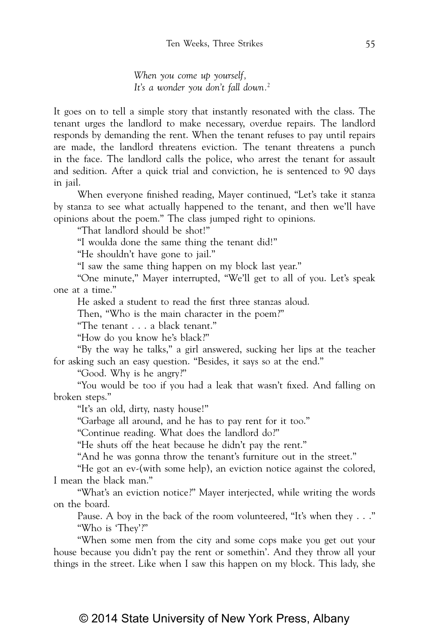*When you come up yourself, It's a wonder you don't fall down.*<sup>2</sup>

It goes on to tell a simple story that instantly resonated with the class. The tenant urges the landlord to make necessary, overdue repairs. The landlord responds by demanding the rent. When the tenant refuses to pay until repairs are made, the landlord threatens eviction. The tenant threatens a punch in the face. The landlord calls the police, who arrest the tenant for assault and sedition. After a quick trial and conviction, he is sentenced to 90 days in jail.

When everyone finished reading, Mayer continued, "Let's take it stanza by stanza to see what actually happened to the tenant, and then we'll have opinions about the poem." The class jumped right to opinions.

"That landlord should be shot!"

"I woulda done the same thing the tenant did!"

"He shouldn't have gone to jail."

"I saw the same thing happen on my block last year."

"One minute," Mayer interrupted, "We'll get to all of you. Let's speak one at a time."

He asked a student to read the first three stanzas aloud.

Then, "Who is the main character in the poem?"

"The tenant . . . a black tenant."

"How do you know he's black?"

"By the way he talks," a girl answered, sucking her lips at the teacher for asking such an easy question. "Besides, it says so at the end."

"Good. Why is he angry?"

"You would be too if you had a leak that wasn't fixed. And falling on broken steps."

"It's an old, dirty, nasty house!"

"Garbage all around, and he has to pay rent for it too."

"Continue reading. What does the landlord do?"

"He shuts off the heat because he didn't pay the rent."

"And he was gonna throw the tenant's furniture out in the street."

"He got an ev-(with some help), an eviction notice against the colored, I mean the black man."

"What's an eviction notice?" Mayer interjected, while writing the words on the board.

Pause. A boy in the back of the room volunteered, "It's when they . . ." "Who is 'They'?"

"When some men from the city and some cops make you get out your house because you didn't pay the rent or somethin'. And they throw all your things in the street. Like when I saw this happen on my block. This lady, she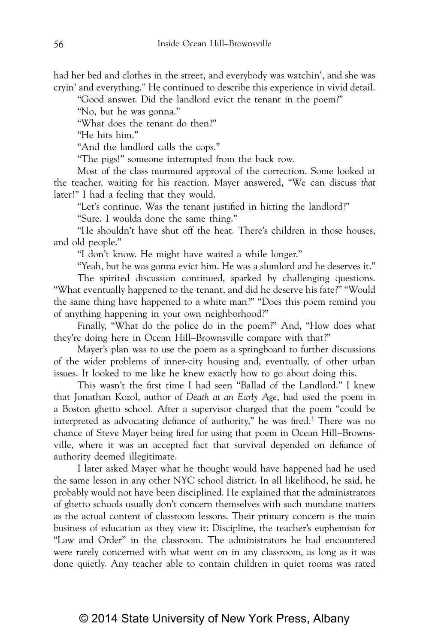had her bed and clothes in the street, and everybody was watchin', and she was cryin' and everything." He continued to describe this experience in vivid detail.

"Good answer. Did the landlord evict the tenant in the poem?"

"No, but he was gonna."

"What does the tenant do then?"

"He hits him."

"And the landlord calls the cops."

"The pigs!" someone interrupted from the back row.

Most of the class murmured approval of the correction. Some looked at the teacher, waiting for his reaction. Mayer answered, "We can discuss *that* later!" I had a feeling that they would.

"Let's continue. Was the tenant justified in hitting the landlord?"

"Sure. I woulda done the same thing."

"He shouldn't have shut off the heat. There's children in those houses, and old people."

"I don't know. He might have waited a while longer."

"Yeah, but he was gonna evict him. He was a slumlord and he deserves it."

The spirited discussion continued, sparked by challenging questions. "What eventually happened to the tenant, and did he deserve his fate?" "Would the same thing have happened to a white man?" "Does this poem remind you of anything happening in your own neighborhood?"

Finally, "What do the police do in the poem?" And, "How does what they're doing here in Ocean Hill–Brownsville compare with that?"

Mayer's plan was to use the poem as a springboard to further discussions of the wider problems of inner-city housing and, eventually, of other urban issues. It looked to me like he knew exactly how to go about doing this.

This wasn't the first time I had seen "Ballad of the Landlord." I knew that Jonathan Kozol, author of *Death at an Early Age*, had used the poem in a Boston ghetto school. After a supervisor charged that the poem "could be interpreted as advocating defiance of authority," he was fired.3 There was no chance of Steve Mayer being fired for using that poem in Ocean Hill–Brownsville, where it was an accepted fact that survival depended on defiance of authority deemed illegitimate.

I later asked Mayer what he thought would have happened had he used the same lesson in any other NYC school district. In all likelihood, he said, he probably would not have been disciplined. He explained that the administrators of ghetto schools usually don't concern themselves with such mundane matters as the actual content of classroom lessons. Their primary concern is the main business of education as they view it: Discipline, the teacher's euphemism for "Law and Order" in the classroom. The administrators he had encountered were rarely concerned with what went on in any classroom, as long as it was done quietly. Any teacher able to contain children in quiet rooms was rated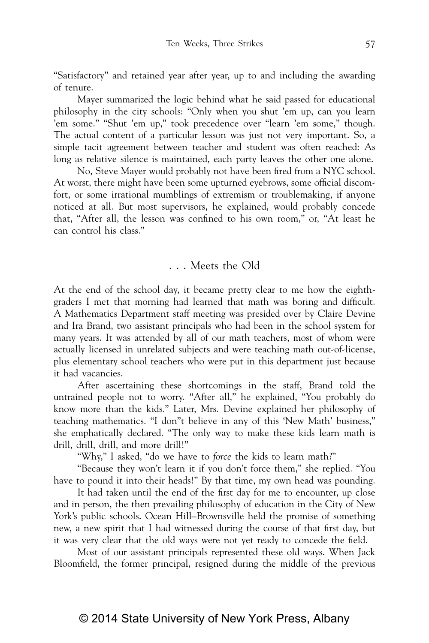"Satisfactory" and retained year after year, up to and including the awarding of tenure.

Mayer summarized the logic behind what he said passed for educational philosophy in the city schools: "Only when you shut 'em up, can you learn 'em some." "Shut 'em up," took precedence over "learn 'em some," though. The actual content of a particular lesson was just not very important. So, a simple tacit agreement between teacher and student was often reached: As long as relative silence is maintained, each party leaves the other one alone.

No, Steve Mayer would probably not have been fired from a NYC school. At worst, there might have been some upturned eyebrows, some official discomfort, or some irrational mumblings of extremism or troublemaking, if anyone noticed at all. But most supervisors, he explained, would probably concede that, "After all, the lesson was confined to his own room," or, "At least he can control his class."

### . . . Meets the Old

At the end of the school day, it became pretty clear to me how the eighthgraders I met that morning had learned that math was boring and difficult. A Mathematics Department staff meeting was presided over by Claire Devine and Ira Brand, two assistant principals who had been in the school system for many years. It was attended by all of our math teachers, most of whom were actually licensed in unrelated subjects and were teaching math out-of-license, plus elementary school teachers who were put in this department just because it had vacancies.

After ascertaining these shortcomings in the staff, Brand told the untrained people not to worry. "After all," he explained, "You probably do know more than the kids." Later, Mrs. Devine explained her philosophy of teaching mathematics. "I don"t believe in any of this 'New Math' business," she emphatically declared. "The only way to make these kids learn math is drill, drill, drill, and more drill!"

"Why," I asked, "do we have to *force* the kids to learn math?"

"Because they won't learn it if you don't force them," she replied. "You have to pound it into their heads!" By that time, my own head was pounding.

It had taken until the end of the first day for me to encounter, up close and in person, the then prevailing philosophy of education in the City of New York's public schools. Ocean Hill–Brownsville held the promise of something new, a new spirit that I had witnessed during the course of that first day, but it was very clear that the old ways were not yet ready to concede the field.

Most of our assistant principals represented these old ways. When Jack Bloomfield, the former principal, resigned during the middle of the previous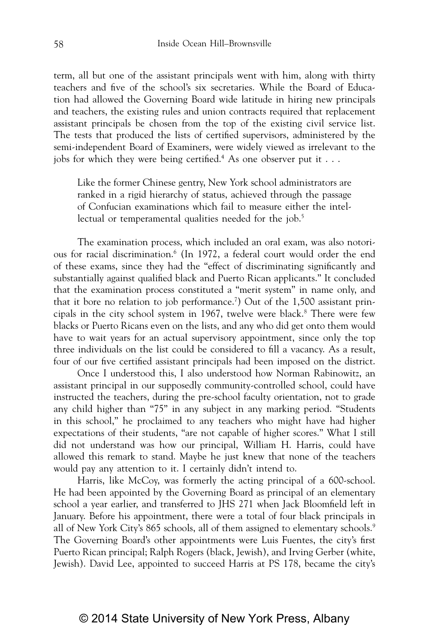term, all but one of the assistant principals went with him, along with thirty teachers and five of the school's six secretaries. While the Board of Education had allowed the Governing Board wide latitude in hiring new principals and teachers, the existing rules and union contracts required that replacement assistant principals be chosen from the top of the existing civil service list. The tests that produced the lists of certified supervisors, administered by the semi-independent Board of Examiners, were widely viewed as irrelevant to the jobs for which they were being certified.<sup>4</sup> As one observer put it  $\dots$ 

Like the former Chinese gentry, New York school administrators are ranked in a rigid hierarchy of status, achieved through the passage of Confucian examinations which fail to measure either the intellectual or temperamental qualities needed for the job.<sup>5</sup>

The examination process, which included an oral exam, was also notorious for racial discrimination.6 (In 1972, a federal court would order the end of these exams, since they had the "effect of discriminating significantly and substantially against qualified black and Puerto Rican applicants." It concluded that the examination process constituted a "merit system" in name only, and that it bore no relation to job performance.<sup>7</sup>) Out of the 1,500 assistant principals in the city school system in 1967, twelve were black.<sup>8</sup> There were few blacks or Puerto Ricans even on the lists, and any who did get onto them would have to wait years for an actual supervisory appointment, since only the top three individuals on the list could be considered to fill a vacancy. As a result, four of our five certified assistant principals had been imposed on the district.

Once I understood this, I also understood how Norman Rabinowitz, an assistant principal in our supposedly community-controlled school, could have instructed the teachers, during the pre-school faculty orientation, not to grade any child higher than "75" in any subject in any marking period. "Students in this school," he proclaimed to any teachers who might have had higher expectations of their students, "are not capable of higher scores." What I still did not understand was how our principal, William H. Harris, could have allowed this remark to stand. Maybe he just knew that none of the teachers would pay any attention to it. I certainly didn't intend to.

Harris, like McCoy, was formerly the acting principal of a 600-school. He had been appointed by the Governing Board as principal of an elementary school a year earlier, and transferred to JHS 271 when Jack Bloomfield left in January. Before his appointment, there were a total of four black principals in all of New York City's 865 schools, all of them assigned to elementary schools.<sup>9</sup> The Governing Board's other appointments were Luis Fuentes, the city's first Puerto Rican principal; Ralph Rogers (black, Jewish), and Irving Gerber (white, Jewish). David Lee, appointed to succeed Harris at PS 178, became the city's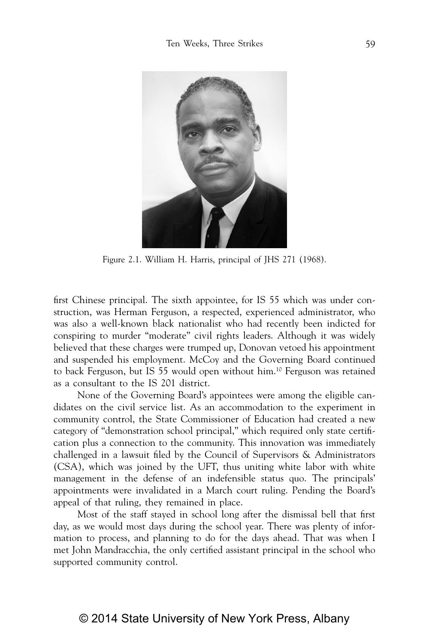

Figure 2.1. William H. Harris, principal of JHS 271 (1968).

first Chinese principal. The sixth appointee, for IS 55 which was under construction, was Herman Ferguson, a respected, experienced administrator, who was also a well-known black nationalist who had recently been indicted for conspiring to murder "moderate" civil rights leaders. Although it was widely believed that these charges were trumped up, Donovan vetoed his appointment and suspended his employment. McCoy and the Governing Board continued to back Ferguson, but IS 55 would open without him.10 Ferguson was retained as a consultant to the IS 201 district.

None of the Governing Board's appointees were among the eligible candidates on the civil service list. As an accommodation to the experiment in community control, the State Commissioner of Education had created a new category of "demonstration school principal," which required only state certification plus a connection to the community. This innovation was immediately challenged in a lawsuit filed by the Council of Supervisors & Administrators (CSA), which was joined by the UFT, thus uniting white labor with white management in the defense of an indefensible status quo. The principals' appointments were invalidated in a March court ruling. Pending the Board's appeal of that ruling, they remained in place.

Most of the staff stayed in school long after the dismissal bell that first day, as we would most days during the school year. There was plenty of information to process, and planning to do for the days ahead. That was when I met John Mandracchia, the only certified assistant principal in the school who supported community control.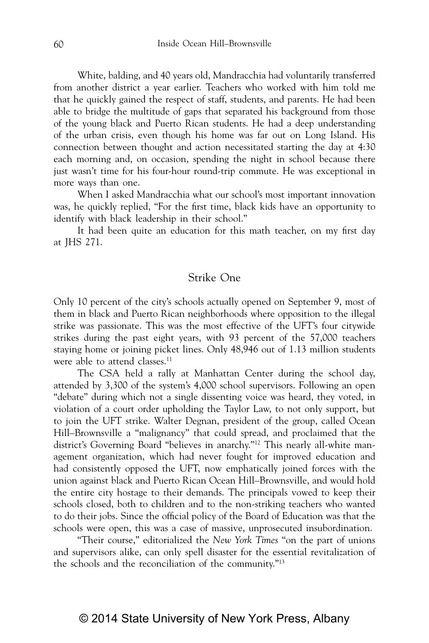White, balding, and 40 years old, Mandracchia had voluntarily transferred from another district a year earlier. Teachers who worked with him told me that he quickly gained the respect of staff, students, and parents. He had been able to bridge the multitude of gaps that separated his background from those of the young black and Puerto Rican students. He had a deep understanding of the urban crisis, even though his home was far out on Long Island. His connection between thought and action necessitated starting the day at 4:30 each morning and, on occasion, spending the night in school because there just wasn't time for his four-hour round-trip commute. He was exceptional in more ways than one.

When I asked Mandracchia what our school's most important innovation was, he quickly replied, "For the first time, black kids have an opportunity to identify with black leadership in their school."

It had been quite an education for this math teacher, on my first day at JHS 271.

#### Strike One

Only 10 percent of the city's schools actually opened on September 9, most of them in black and Puerto Rican neighborhoods where opposition to the illegal strike was passionate. This was the most effective of the UFT's four citywide strikes during the past eight years, with 93 percent of the 57,000 teachers staying home or joining picket lines. Only 48,946 out of 1.13 million students were able to attend classes.<sup>11</sup>

The CSA held a rally at Manhattan Center during the school day, attended by 3,300 of the system's 4,000 school supervisors. Following an open "debate" during which not a single dissenting voice was heard, they voted, in violation of a court order upholding the Taylor Law, to not only support, but to join the UFT strike. Walter Degnan, president of the group, called Ocean Hill–Brownsville a "malignancy" that could spread, and proclaimed that the district's Governing Board "believes in anarchy."12 This nearly all-white management organization, which had never fought for improved education and had consistently opposed the UFT, now emphatically joined forces with the union against black and Puerto Rican Ocean Hill–Brownsville, and would hold the entire city hostage to their demands. The principals vowed to keep their schools closed, both to children and to the non-striking teachers who wanted to do their jobs. Since the official policy of the Board of Education was that the schools were open, this was a case of massive, unprosecuted insubordination.

"Their course," editorialized the *New York Times* "on the part of unions and supervisors alike, can only spell disaster for the essential revitalization of the schools and the reconciliation of the community."13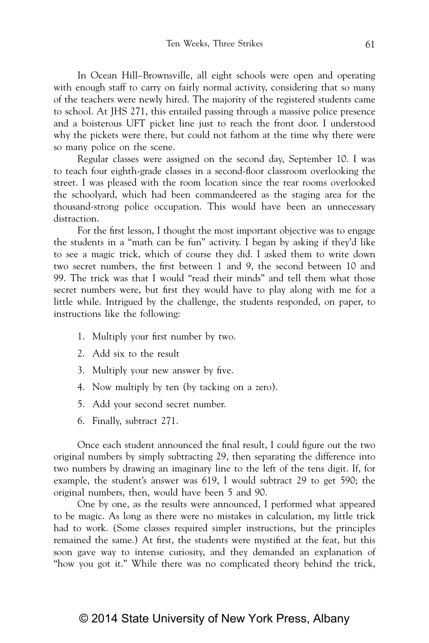In Ocean Hill–Brownsville, all eight schools were open and operating with enough staff to carry on fairly normal activity, considering that so many of the teachers were newly hired. The majority of the registered students came to school. At JHS 271, this entailed passing through a massive police presence and a boisterous UFT picket line just to reach the front door. I understood why the pickets were there, but could not fathom at the time why there were so many police on the scene.

Regular classes were assigned on the second day, September 10. I was to teach four eighth-grade classes in a second-floor classroom overlooking the street. I was pleased with the room location since the rear rooms overlooked the schoolyard, which had been commandeered as the staging area for the thousand-strong police occupation. This would have been an unnecessary distraction.

For the first lesson, I thought the most important objective was to engage the students in a "math can be fun" activity. I began by asking if they'd like to see a magic trick, which of course they did. I asked them to write down two secret numbers, the first between 1 and 9, the second between 10 and 99. The trick was that I would "read their minds" and tell them what those secret numbers were, but first they would have to play along with me for a little while. Intrigued by the challenge, the students responded, on paper, to instructions like the following:

- 1. Multiply your first number by two.
- 2. Add six to the result
- 3. Multiply your new answer by five.
- 4. Now multiply by ten (by tacking on a zero).
- 5. Add your second secret number.
- 6. Finally, subtract 271.

Once each student announced the final result, I could figure out the two original numbers by simply subtracting 29, then separating the difference into two numbers by drawing an imaginary line to the left of the tens digit. If, for example, the student's answer was 619, I would subtract 29 to get 590; the original numbers, then, would have been 5 and 90.

One by one, as the results were announced, I performed what appeared to be magic. As long as there were no mistakes in calculation, my little trick had to work. (Some classes required simpler instructions, but the principles remained the same.) At first, the students were mystified at the feat, but this soon gave way to intense curiosity, and they demanded an explanation of "how you got it." While there was no complicated theory behind the trick,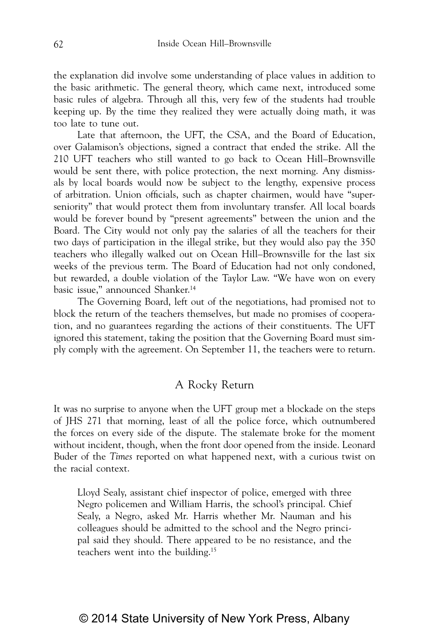the explanation did involve some understanding of place values in addition to the basic arithmetic. The general theory, which came next, introduced some basic rules of algebra. Through all this, very few of the students had trouble keeping up. By the time they realized they were actually doing math, it was too late to tune out.

Late that afternoon, the UFT, the CSA, and the Board of Education, over Galamison's objections, signed a contract that ended the strike. All the 210 UFT teachers who still wanted to go back to Ocean Hill–Brownsville would be sent there, with police protection, the next morning. Any dismissals by local boards would now be subject to the lengthy, expensive process of arbitration. Union officials, such as chapter chairmen, would have "superseniority" that would protect them from involuntary transfer. All local boards would be forever bound by "present agreements" between the union and the Board. The City would not only pay the salaries of all the teachers for their two days of participation in the illegal strike, but they would also pay the 350 teachers who illegally walked out on Ocean Hill–Brownsville for the last six weeks of the previous term. The Board of Education had not only condoned, but rewarded, a double violation of the Taylor Law. "We have won on every basic issue," announced Shanker.14

The Governing Board, left out of the negotiations, had promised not to block the return of the teachers themselves, but made no promises of cooperation, and no guarantees regarding the actions of their constituents. The UFT ignored this statement, taking the position that the Governing Board must simply comply with the agreement. On September 11, the teachers were to return.

#### A Rocky Return

It was no surprise to anyone when the UFT group met a blockade on the steps of JHS 271 that morning, least of all the police force, which outnumbered the forces on every side of the dispute. The stalemate broke for the moment without incident, though, when the front door opened from the inside. Leonard Buder of the *Times* reported on what happened next, with a curious twist on the racial context.

Lloyd Sealy, assistant chief inspector of police, emerged with three Negro policemen and William Harris, the school's principal. Chief Sealy, a Negro, asked Mr. Harris whether Mr. Nauman and his colleagues should be admitted to the school and the Negro principal said they should. There appeared to be no resistance, and the teachers went into the building.15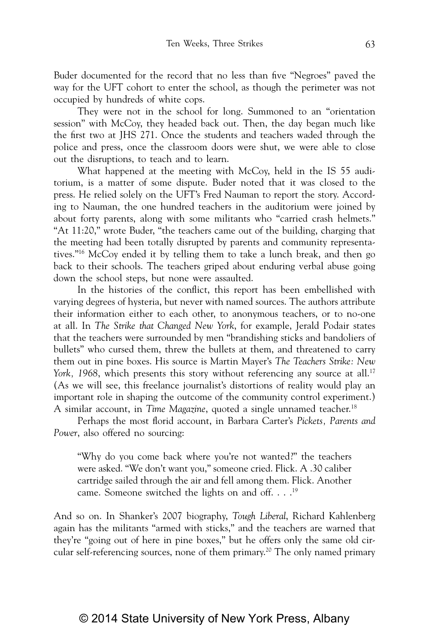Buder documented for the record that no less than five "Negroes" paved the way for the UFT cohort to enter the school, as though the perimeter was not occupied by hundreds of white cops.

They were not in the school for long. Summoned to an "orientation session" with McCoy, they headed back out. Then, the day began much like the first two at JHS 271. Once the students and teachers waded through the police and press, once the classroom doors were shut, we were able to close out the disruptions, to teach and to learn.

What happened at the meeting with McCoy, held in the IS 55 auditorium, is a matter of some dispute. Buder noted that it was closed to the press. He relied solely on the UFT's Fred Nauman to report the story. According to Nauman, the one hundred teachers in the auditorium were joined by about forty parents, along with some militants who "carried crash helmets." "At 11:20," wrote Buder, "the teachers came out of the building, charging that the meeting had been totally disrupted by parents and community representatives."16 McCoy ended it by telling them to take a lunch break, and then go back to their schools. The teachers griped about enduring verbal abuse going down the school steps, but none were assaulted.

In the histories of the conflict, this report has been embellished with varying degrees of hysteria, but never with named sources. The authors attribute their information either to each other, to anonymous teachers, or to no-one at all. In *The Strike that Changed New York*, for example, Jerald Podair states that the teachers were surrounded by men "brandishing sticks and bandoliers of bullets" who cursed them, threw the bullets at them, and threatened to carry them out in pine boxes. His source is Martin Mayer's *The Teachers Strike: New York, 1968*, which presents this story without referencing any source at all.<sup>17</sup> (As we will see, this freelance journalist's distortions of reality would play an important role in shaping the outcome of the community control experiment.) A similar account, in *Time Magazine*, quoted a single unnamed teacher.<sup>18</sup>

Perhaps the most florid account, in Barbara Carter's *Pickets, Parents and Power*, also offered no sourcing:

"Why do you come back where you're not wanted?" the teachers were asked. "We don't want you," someone cried. Flick. A .30 caliber cartridge sailed through the air and fell among them. Flick. Another came. Someone switched the lights on and off. . . . 19

And so on. In Shanker's 2007 biography, *Tough Liberal*, Richard Kahlenberg again has the militants "armed with sticks," and the teachers are warned that they're "going out of here in pine boxes," but he offers only the same old circular self-referencing sources, none of them primary.<sup>20</sup> The only named primary